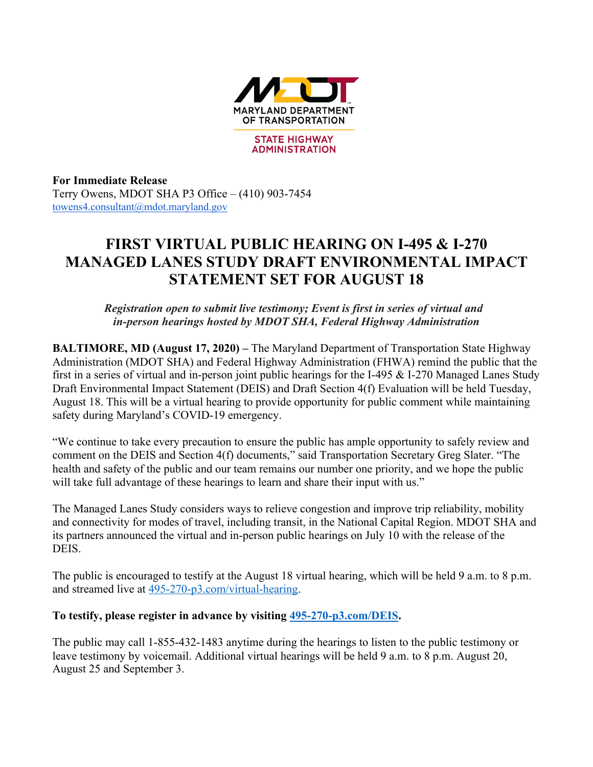

**For Immediate Release**  Terry Owens, MDOT SHA P3 Office – (410) 903-7454 towens4.consultant@mdot.maryland.gov

## **FIRST VIRTUAL PUBLIC HEARING ON I-495 & I-270 MANAGED LANES STUDY DRAFT ENVIRONMENTAL IMPACT STATEMENT SET FOR AUGUST 18**

*Registration open to submit live testimony; Event is first in series of virtual and in-person hearings hosted by MDOT SHA, Federal Highway Administration*

**BALTIMORE, MD (August 17, 2020) –** The Maryland Department of Transportation State Highway Administration (MDOT SHA) and Federal Highway Administration (FHWA) remind the public that the first in a series of virtual and in-person joint public hearings for the I-495 & I-270 Managed Lanes Study Draft Environmental Impact Statement (DEIS) and Draft Section 4(f) Evaluation will be held Tuesday, August 18. This will be a virtual hearing to provide opportunity for public comment while maintaining safety during Maryland's COVID-19 emergency.

"We continue to take every precaution to ensure the public has ample opportunity to safely review and comment on the DEIS and Section 4(f) documents," said Transportation Secretary Greg Slater. "The health and safety of the public and our team remains our number one priority, and we hope the public will take full advantage of these hearings to learn and share their input with us."

The Managed Lanes Study considers ways to relieve congestion and improve trip reliability, mobility and connectivity for modes of travel, including transit, in the National Capital Region. MDOT SHA and its partners announced the virtual and in-person public hearings on July 10 with the release of the DEIS.

The public is encouraged to testify at the August 18 virtual hearing, which will be held 9 a.m. to 8 p.m. and streamed live at 495-270-p3.com/virtual-hearing.

## **To testify, please register in advance by visiting 495-270-p3.com/DEIS.**

The public may call 1-855-432-1483 anytime during the hearings to listen to the public testimony or leave testimony by voicemail. Additional virtual hearings will be held 9 a.m. to 8 p.m. August 20, August 25 and September 3.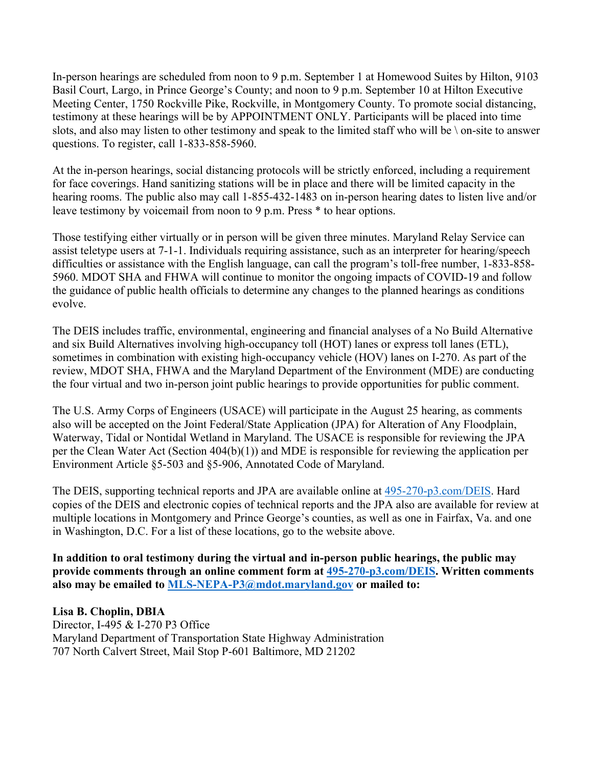In-person hearings are scheduled from noon to 9 p.m. September 1 at Homewood Suites by Hilton, 9103 Basil Court, Largo, in Prince George's County; and noon to 9 p.m. September 10 at Hilton Executive Meeting Center, 1750 Rockville Pike, Rockville, in Montgomery County. To promote social distancing, testimony at these hearings will be by APPOINTMENT ONLY. Participants will be placed into time slots, and also may listen to other testimony and speak to the limited staff who will be \ on-site to answer questions. To register, call 1-833-858-5960.

At the in-person hearings, social distancing protocols will be strictly enforced, including a requirement for face coverings. Hand sanitizing stations will be in place and there will be limited capacity in the hearing rooms. The public also may call 1-855-432-1483 on in-person hearing dates to listen live and/or leave testimony by voicemail from noon to 9 p.m. Press \* to hear options.

Those testifying either virtually or in person will be given three minutes. Maryland Relay Service can assist teletype users at 7-1-1. Individuals requiring assistance, such as an interpreter for hearing/speech difficulties or assistance with the English language, can call the program's toll-free number, 1-833-858- 5960. MDOT SHA and FHWA will continue to monitor the ongoing impacts of COVID-19 and follow the guidance of public health officials to determine any changes to the planned hearings as conditions evolve.

The DEIS includes traffic, environmental, engineering and financial analyses of a No Build Alternative and six Build Alternatives involving high-occupancy toll (HOT) lanes or express toll lanes (ETL), sometimes in combination with existing high-occupancy vehicle (HOV) lanes on I-270. As part of the review, MDOT SHA, FHWA and the Maryland Department of the Environment (MDE) are conducting the four virtual and two in-person joint public hearings to provide opportunities for public comment.

The U.S. Army Corps of Engineers (USACE) will participate in the August 25 hearing, as comments also will be accepted on the Joint Federal/State Application (JPA) for Alteration of Any Floodplain, Waterway, Tidal or Nontidal Wetland in Maryland. The USACE is responsible for reviewing the JPA per the Clean Water Act (Section 404(b)(1)) and MDE is responsible for reviewing the application per Environment Article §5-503 and §5-906, Annotated Code of Maryland.

The DEIS, supporting technical reports and JPA are available online at 495-270-p3.com/DEIS. Hard copies of the DEIS and electronic copies of technical reports and the JPA also are available for review at multiple locations in Montgomery and Prince George's counties, as well as one in Fairfax, Va. and one in Washington, D.C. For a list of these locations, go to the website above.

**In addition to oral testimony during the virtual and in-person public hearings, the public may provide comments through an online comment form at 495-270-p3.com/DEIS. Written comments also may be emailed to MLS-NEPA-P3@mdot.maryland.gov or mailed to:**

**Lisa B. Choplin, DBIA** Director, I-495 & I-270 P3 Office Maryland Department of Transportation State Highway Administration 707 North Calvert Street, Mail Stop P-601 Baltimore, MD 21202